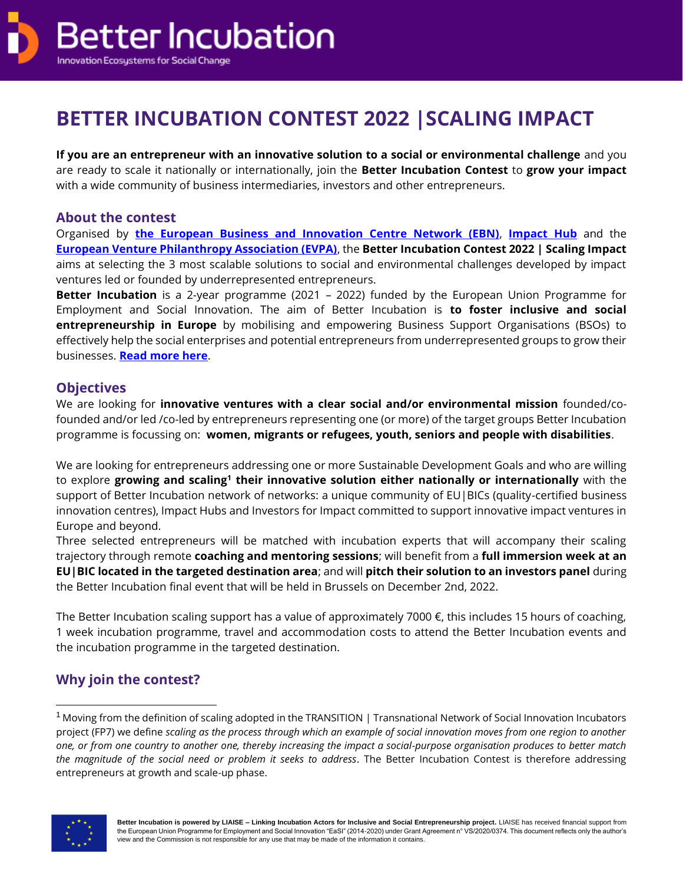

# **BETTER INCUBATION CONTEST 2022 |SCALING IMPACT**

**If you are an entrepreneur with an innovative solution to a social or environmental challenge** and you are ready to scale it nationally or internationally, join the **Better Incubation Contest** to **grow your impact** with a wide community of business intermediaries, investors and other entrepreneurs.

### **About the contest**

Organised by **[the European Business and Innovation Centre Network \(EBN\)](https://ebn.eu/)**, **[Impact Hub](https://impacthub.net/)** and the **[European Venture Philanthropy Association \(EVPA\)](https://evpa.eu.com/)**, the **Better Incubation Contest 2022 | Scaling Impact** aims at selecting the 3 most scalable solutions to social and environmental challenges developed by impact ventures led or founded by underrepresented entrepreneurs.

**Better Incubation** is a 2-year programme (2021 – 2022) funded by the European Union Programme for Employment and Social Innovation. The aim of Better Incubation is **to foster inclusive and social entrepreneurship in Europe** by mobilising and empowering Business Support Organisations (BSOs) to effectively help the social enterprises and potential entrepreneurs from underrepresented groups to grow their businesses. **[Read more here](https://betterincubation.eu/about/)**.

### **Objectives**

We are looking for **innovative ventures with a clear social and/or environmental mission** founded/cofounded and/or led /co-led by entrepreneurs representing one (or more) of the target groups Better Incubation programme is focussing on: **women, migrants or refugees, youth, seniors and people with disabilities**.

We are looking for entrepreneurs addressing one or more Sustainable Development Goals and who are willing to explore growing and scaling<sup>1</sup> their innovative solution either nationally or internationally with the support of Better Incubation network of networks: a unique community of EU|BICs (quality-certified business innovation centres), Impact Hubs and Investors for Impact committed to support innovative impact ventures in Europe and beyond.

Three selected entrepreneurs will be matched with incubation experts that will accompany their scaling trajectory through remote **coaching and mentoring sessions**; will benefit from a **full immersion week at an EU|BIC located in the targeted destination area**; and will **pitch their solution to an investors panel** during the Better Incubation final event that will be held in Brussels on December 2nd, 2022.

The Better Incubation scaling support has a value of approximately 7000 €, this includes 15 hours of coaching, 1 week incubation programme, travel and accommodation costs to attend the Better Incubation events and the incubation programme in the targeted destination.

# **Why join the contest?**

<sup>&</sup>lt;sup>1</sup> Moving from the definition of scaling adopted in the TRANSITION | Transnational Network of Social Innovation Incubators project (FP7) we define *scaling as the process through which an example of social innovation moves from one region to another one, or from one country to another one, thereby increasing the impact a social-purpose organisation produces to better match the magnitude of the social need or problem it seeks to address*. The Better Incubation Contest is therefore addressing entrepreneurs at growth and scale-up phase.

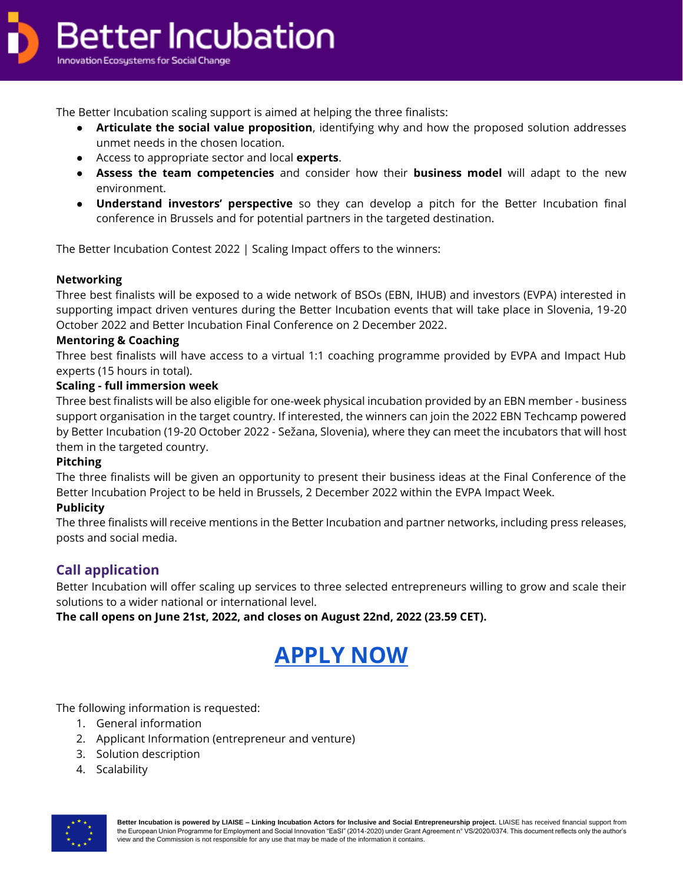

The Better Incubation scaling support is aimed at helping the three finalists:

- **Articulate the social value proposition**, identifying why and how the proposed solution addresses unmet needs in the chosen location.
- Access to appropriate sector and local **experts**.
- **Assess the team competencies** and consider how their **business model** will adapt to the new environment.
- **Understand investors' perspective** so they can develop a pitch for the Better Incubation final conference in Brussels and for potential partners in the targeted destination.

The Better Incubation Contest 2022 | Scaling Impact offers to the winners:

#### **Networking**

Three best finalists will be exposed to a wide network of BSOs (EBN, IHUB) and investors (EVPA) interested in supporting impact driven ventures during the Better Incubation events that will take place in Slovenia, 19-20 October 2022 and Better Incubation Final Conference on 2 December 2022.

#### **Mentoring & Coaching**

Three best finalists will have access to a virtual 1:1 coaching programme provided by EVPA and Impact Hub experts (15 hours in total).

#### **Scaling - full immersion week**

Three best finalists will be also eligible for one-week physical incubation provided by an EBN member - business support organisation in the target country. If interested, the winners can join the 2022 EBN Techcamp powered by Better Incubation (19-20 October 2022 - Sežana, Slovenia), where they can meet the incubators that will host them in the targeted country.

#### **Pitching**

The three finalists will be given an opportunity to present their business ideas at the Final Conference of the Better Incubation Project to be held in Brussels, 2 December 2022 within the EVPA Impact Week.

#### **Publicity**

The three finalists will receive mentions in the Better Incubation and partner networks, including press releases, posts and social media.

## **Call application**

Better Incubation will offer scaling up services to three selected entrepreneurs willing to grow and scale their solutions to a wider national or international level.

**The call opens on June 21st, 2022, and closes on August 22nd, 2022 (23.59 CET).** 

# **[APPLY NOW](https://docs.google.com/forms/d/e/1FAIpQLSc6jkKoEB0AoMBJxndA1SLOE7yKJ75y_P0L9PAdn9A0qA_MPw/viewform)**

The following information is requested:

- 1. General information
- 2. Applicant Information (entrepreneur and venture)
- 3. Solution description
- 4. Scalability

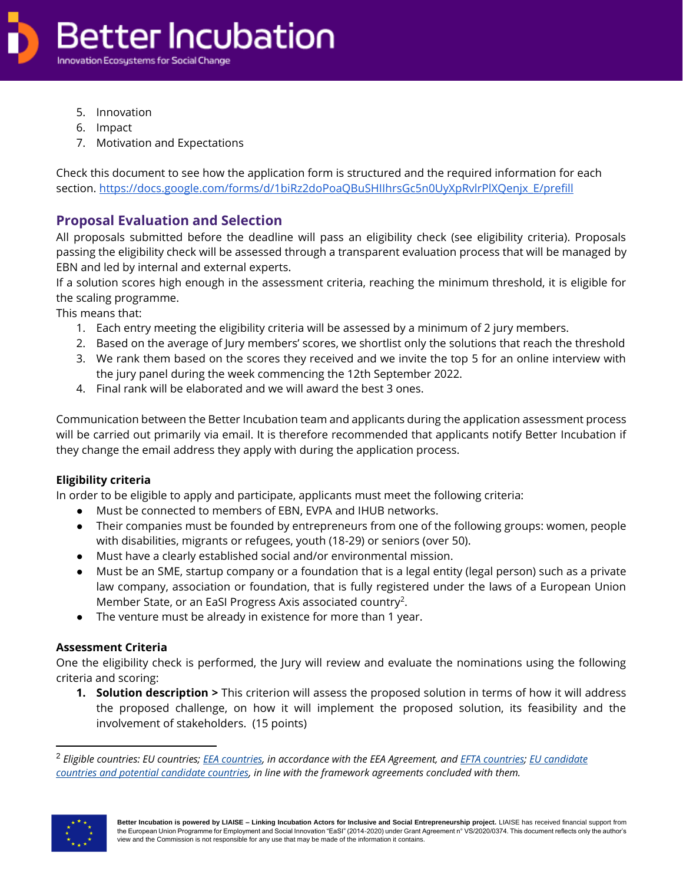

- 5. Innovation
- 6. Impact
- 7. Motivation and Expectations

Check this document to see how the application form is structured and the required information for each section. [https://docs.google.com/forms/d/1biRz2doPoaQBuSHIIhrsGc5n0UyXpRvlrPlXQenjx\\_E/prefill](https://docs.google.com/forms/d/1biRz2doPoaQBuSHIIhrsGc5n0UyXpRvlrPlXQenjx_E/prefill)

## **Proposal Evaluation and Selection**

All proposals submitted before the deadline will pass an eligibility check (see eligibility criteria). Proposals passing the eligibility check will be assessed through a transparent evaluation process that will be managed by EBN and led by internal and external experts.

If a solution scores high enough in the assessment criteria, reaching the minimum threshold, it is eligible for the scaling programme.

This means that:

- 1. Each entry meeting the eligibility criteria will be assessed by a minimum of 2 jury members.
- 2. Based on the average of Jury members' scores, we shortlist only the solutions that reach the threshold
- 3. We rank them based on the scores they received and we invite the top 5 for an online interview with the jury panel during the week commencing the 12th September 2022.
- 4. Final rank will be elaborated and we will award the best 3 ones.

Communication between the Better Incubation team and applicants during the application assessment process will be carried out primarily via email. It is therefore recommended that applicants notify Better Incubation if they change the email address they apply with during the application process.

#### **Eligibility criteria**

In order to be eligible to apply and participate, applicants must meet the following criteria:

- Must be connected to members of EBN, EVPA and IHUB networks.
- Their companies must be founded by entrepreneurs from one of the following groups: women, people with disabilities, migrants or refugees, youth (18-29) or seniors (over 50).
- Must have a clearly established social and/or environmental mission.
- Must be an SME, startup company or a foundation that is a legal entity (legal person) such as a private law company, association or foundation, that is fully registered under the laws of a European Union Member State, or an EaSI Progress Axis associated country<sup>2</sup>.
- The venture must be already in existence for more than 1 year.

#### **Assessment Criteria**

One the eligibility check is performed, the Jury will review and evaluate the nominations using the following criteria and scoring:

**1. Solution description >** This criterion will assess the proposed solution in terms of how it will address the proposed challenge, on how it will implement the proposed solution, its feasibility and the involvement of stakeholders. (15 points)

<sup>2</sup> *Eligible countries: EU countries; [EEA countries,](https://eeas.europa.eu/eea/) in accordance with the EEA Agreement, and [EFTA countries;](https://www.efta.int/) [EU candidate](https://ec.europa.eu/enlargement/countries/check-current-status/index_en.htm)  [countries and potential candidate countries,](https://ec.europa.eu/enlargement/countries/check-current-status/index_en.htm) in line with the framework agreements concluded with them.*